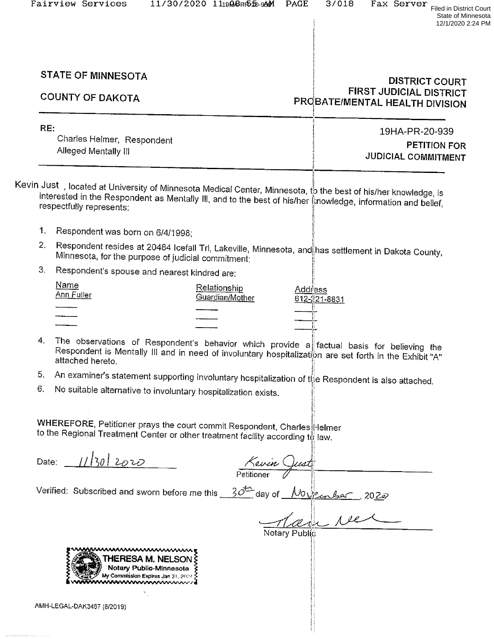State of Minnesota 12/1/2020 2:24 PM

# STATE OF MINNESOTA<br>DISTRICT COURT<br>PROBATEIMENTAL HEALTH DIVISION

| RE:                                                | 19HA-PR-20-939                             |
|----------------------------------------------------|--------------------------------------------|
| Charles Helmer, Respondent<br>Alleged Mentally III | <b>PETITION FOR</b><br>JUDICIAL COMMITMENT |
|                                                    |                                            |

Kevin Just,located at University of Minnesota Medical Center, Minnesota, to the best of his/her knowledge, is<br>Interested in the Respondent as Mentally III, and to the best of his/hare through the filis/her knowledge, is interested in the Respondent as Mentally III, and to the best of his/her knowledge, information and belief, respectfully represents:

- 1. Respondent was born on 6/4/1998;
- 2. Respondent resides at 20484 Icefall Trl, Lakeville, Minnesota, and has settlement in Dakota County,<br>Minnesota, for the purpose of judicial commitment;
- 3. Respondent's spouse and nearest kindred are:

| Name<br>Ann Fuller | <b>Relationship</b><br>Guardian/Mother | <u>Addr</u> ess<br>612-221-8831 |
|--------------------|----------------------------------------|---------------------------------|
|                    |                                        |                                 |
|                    |                                        |                                 |
|                    |                                        |                                 |
|                    |                                        |                                 |

- 4. The observations of Respondent's behavior which provide a factual basis for believing the<br>Respondent is Mentally Ill and in need of involuntary hospitalization are set forth in the Exhibit "A" involperident is wientaily in and in need or involuntary hospitalization are set forth in the Exhibit "Attached hereto. attached hereto.
- 5. An examiner's statement supporting involuntary hospitalization of the Respondent is also attached.<br>6. No suitable alternative to involuntary boositalization set of the Respondent is also attached.
- No suitable alternative to involuntary hospitalization exists.

WHEREFORE, Petitioner prays the court commit Respondent, Charles Helmer to the Regional Treatment Center or other treatment facility according to law.

Date:  $11|30|2020$ 

Kevin Quest

Verified: Subscribed and sworn before me this  $30^{\frac{+1}{2}}$  day of  $M0\sqrt{2\pi}$ , 2022 Notary Public?